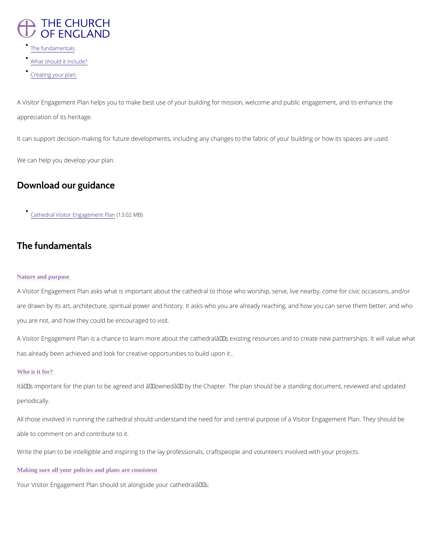

- [The fundam](/node/38333/printable/bbd_pdf_format#the-fundamentals)entals
- [What should it](/node/38333/printable/bbd_pdf_format#what-should-it-include) include?
- [Creating you](/node/38333/printable/bbd_pdf_format#creating-your-plan)r plan:

A Visitor Engagement Plan helps you to make best use of your building for mission, welcome appreciation of its heritage.

It can support decision-making for future developments, including any changes to the fabric

We can help you develop your plan.

## Download our guidance

[Cathedral Visitor Eng](/sites/default/files/2020-12/Developing Visitor Engagement in Cathedrals.pdf)a(gle3m0e2htMHBI)an

A Visitor Engagement Plan asks what is important about the cathedral to those who worship, are drawn by its art, architecture, spiritual power and history. It asks who you are already re you are not, and how they could be encouraged to visit.

# The fundamentals

### Nature and purpose

A Visitor Engagement Plan is a chance to learn more about the cathedral's existing resou has already been achieved and look for creative opportunities to build upon it..

Itâ $\epsilon$ ™s important for the plan to be agreed and  $\hat{\mathbf{a}} \epsilon$ ~owned $\hat{\mathbf{a}} \epsilon^{\text{TM}}$  by the Chapter. The plan shoul periodically.

All those involved in running the cathedral should understand the need for and central purpo

### Who is it for?

able to comment on and contribute to it.

Write the plan to be intelligible and inspiring to the lay professionals, craftspeople and volu

Making sure all your policies and plans are consistent

Your Visitor Engagement Plan should sit alongside your cathedral $a \in \mathbb{M}$ s: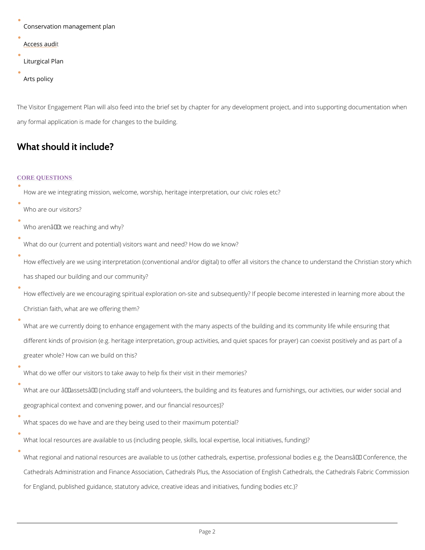```
Conservation management plan 
Access audi
Liturgical Plan
Arts policy
```
The Visitor Engagement Plan will also feed into the brief set by chapter for any development any formal application is made for changes to the building.

## What should it include?

### CORE QUESTIONS

How are we integrating mission, welcome, worship, heritage interpretation, our civic roles etc.

How effectively are we using interpretation (conventional and/or digital) to offer all visitor has shaped our building and our community?

Who are our visitors?

Who arenâ $\epsilon$ <sup>TM</sup>t we reaching and why?

 $\bullet$ 

How effectively are we encouraging spiritual exploration on-site and subsequently? If peopl Christian faith, what are we offering them?

What do our (current and potential) visitors want and need? How do we know?

What are we currently doing to enhance engagement with the many aspects of the building and its community life while ensuring and its community life while ensuring that while ensuring that while while while while the build different kinds of provision (e.g. heritage interpretation, group activities, and quiet spaces greater whole? How can we build on this?

What are our  $\hat{a} \in \tilde{a}$  assets $\hat{a} \in \tilde{a}$  (including staff and volunteers, the building and its features and geographical context and convening power, and our financial resources)?

What do we offer our visitors to take away to help fix their visit in their memories?

What spaces do we have and are they being used to their maximum potential?

What local resources are available to us (including people, skills, local expertise, local ini

What regional and national resources are available to us (other cathedrals, expertise, profe

Cathedrals Administration and Finance Association, Cathedrals Plus, the Association of Eng

for England, published guidance, statutory advice, creative ideas and initiatives, funding b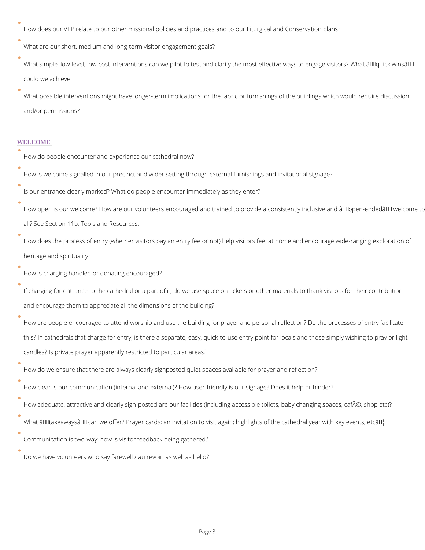How does our VEP relate to our other missional policies and practices and to our Liturgical What are our short, medium and long-term visitor engagement goals?

What simple, low-level, low-cost interventions can we pilot to test and clarify the most effe could we achieve

What possible interventions might have longer-term implications for the fabric or furnishing and/or permissions?

How is welcome signalled in our precinct and wider setting through external furnishings and Is our entrance clearly marked? What do people encounter immediately as they enter?

How open is our welcome? How are our volunteers encouraged and trained to provide a con all? See Section 11b, Tools and Resources.

#### WELCOME

How do people encounter and experience our cathedral now?

How does the process of entry (whether visitors pay an entry fee or not) help visitors feel at  $\theta$ heritage and spirituality?

If charging for entrance to the cathedral or a part of it, do we use space on tickets or othe and encourage them to appreciate all the dimensions of the building?

How are people encouraged to attend worship and use the building for prayer and personal this? In cathedrals that charge for entry, is there a separate, easy, quick-to-use entry poin candles? Is private prayer apparently restricted to particular areas?

How do we ensure that there are always clearly signposted quiet spaces available for praye How clear is our communication (internal and external)? How user-friendly is our signage?

How adequate, attractive and clearly sign-posted are our facilities (including accessible to

 $\bullet$ 

What  $\hat{a} \in \tilde{a}$  takeaways $\hat{a} \in \tilde{a}$  can we offer? Prayer cards; an invitation to visit again; highlights

How is charging handled or donating encouraged?

Communication is two-way: how is visitor feedback being gathered?

Do we have volunteers who say farewell / au revoir, as well as hello?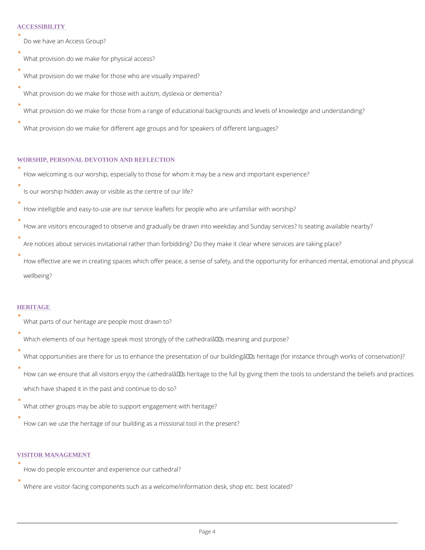### **ACCESSIBILITY**

| Do we have an Access Group?                                                                |
|--------------------------------------------------------------------------------------------|
| What provision do we make for physical access?                                             |
| What provision do we make for those who are visually impaired?                             |
| What provision do we make for those with autism, dyslexia or dementia?                     |
| What provision do we make for those from a range of educational backgrounds and levels of  |
| What provision do we make for different age groups and for speakers of different languages |

|  | How welcoming is our worship, especially to those for whom it may be a new and important |  |  |  |  |  |  |  |
|--|------------------------------------------------------------------------------------------|--|--|--|--|--|--|--|
|  |                                                                                          |  |  |  |  |  |  |  |
|  | Is our worship hidden away or visible as the centre of our life?                         |  |  |  |  |  |  |  |

#### WORSHIP, PERSONAL DEVOTION AND REFLECTION

- How intelligible and easy-to-use are our service leaflets for people who are unfamiliar with
- How are visitors encouraged to observe and gradually be drawn into weekday and Sunday se
- Are notices about services invitational rather than forbidding? Do they make it clear where
- How effective are we in creating spaces which offer peace, a sense of safety, and the oppo wellbeing?

#### HERITAGE

- What parts of our heritage are people most drawn to?
- Which elements of our heritage speak most strongly of the cathedral  $\hat{a} \in \text{TM}$  s meaning and purpose? What opportunities are there for us to enhance the presentation of our building  $\hat{a} \in \text{TMs}$  herita How can we ensure that all visitors enjoy the cathedral $\hat{\mathbf{a}} \in \mathbb{M}$ s heritage to the full by giving t which have shaped it in the past and continue to do so?
- What other groups may be able to support engagement with heritage?

How can we use the heritage of our building as a missional tool in the present?

#### VISITOR MANAGEMENT

How do people encounter and experience our cathedral?

Where are visitor-facing components such as a welcome/information desk, shop etc. best lo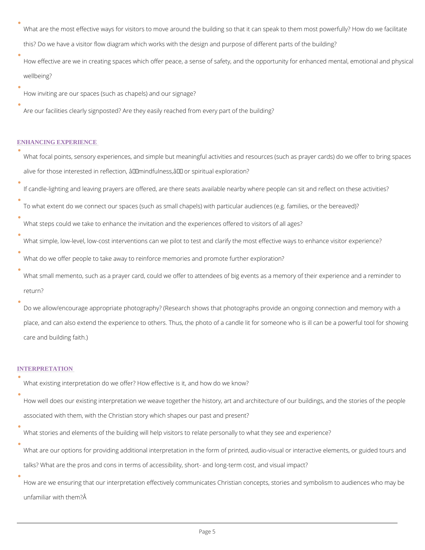What are the most effective ways for visitors to move around the building so that it can spe this? Do we have a visitor flow diagram which works with the design and purpose of differe How effective are we in creating spaces which offer peace, a sense of safety, and the oppo wellbeing?

- How inviting are our spaces (such as chapels) and our signage?
- Are our facilities clearly signposted? Are they easily reached from every part of the buildin

#### ENHANCING EXPERIENCE

| What focal points, sensory experiences, and simple but meaningful activities and resources                                      |
|---------------------------------------------------------------------------------------------------------------------------------|
| alive for those interested in reflection, $\hat{a} \in \tilde{m}$ indfulness, $\hat{a} \in \tilde{m}$ or spiritual exploration? |
| If candle-lighting and leaving prayers are offered, are there seats available nearby where p                                    |
| To what extent do we connect our spaces (such as small chapels) with particular audiences                                       |
| What steps could we take to enhance the invitation and the experiences offered to visitors                                      |
| What simple, low-level, low-cost interventions can we pilot to test and clarify the most effe                                   |
| What do we offer people to take away to reinforce memories and promote further exploration                                      |
| What small memento, such as a prayer card, could we offer to attendees of big events as a                                       |
| return?                                                                                                                         |

Do we allow/encourage appropriate photography? (Research shows that photographs provide place, and can also extend the experience to others. Thus, the photo of a candle lit for son care and building faith.)

How are we ensuring that our interpretation effectively communicates Christian concepts, s unfamiliar with them?

### INTERPRETATION

What existing interpretation do we offer? How effective is it, and how do we know?

How well does our existing interpretation we weave together the history, art and architectu

associated with them, with the Christian story which shapes our past and present?

What stories and elements of the building will help visitors to relate personally to what the

What are our options for providing additional interpretation in the form of printed, audio-vi

talks? What are the pros and cons in terms of accessibility, short- and long-term cost, and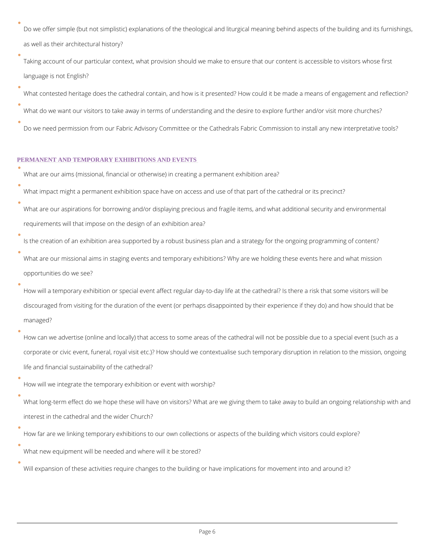Do we offer simple (but not simplistic) explanations of the theological and liturgical meaning as well as their architectural history?

Taking account of our particular context, what provision should we make to ensure that our language is not English?

What contested heritage does the cathedral contain, and how is it presented? How could it

What do we want our visitors to take away in terms of understanding and the desire to expl Do we need permission from our Fabric Advisory Committee or the Cathedrals Fabric Commi

| What are our aims (missional, financial or otherwise) in creating a permanent exhibition are |
|----------------------------------------------------------------------------------------------|
| What impact might a permanent exhibition space have on access and use of that part of the    |
| What are our aspirations for borrowing and/or displaying precious and fragile items, and wh  |
| requirements will that impose on the design of an exhibition area?                           |

Is the creation of an exhibition area supported by a robust business plan and a strategy for What are our missional aims in staging events and temporary exhibitions? Why are we holdi

#### PERMANENT AND TEMPORARY EXHIBITIONS AND EVENTS

How can we advertise (online and locally) that access to some areas of the cathedral will n corporate or civic event, funeral, royal visit etc.)? How should we contextualise such tempo life and financial sustainability of the cathedral?

opportunities do we see?

How will a temporary exhibition or special event affect regular day-to-day life at the cathedral discouraged from visiting for the duration of the event (or perhaps disappointed by their ex managed?

How will we integrate the temporary exhibition or event with worship?

What long-term effect do we hope these will have on visitors? What are we giving them to t

interest in the cathedral and the wider Church?

How far are we linking temporary exhibitions to our own collections or aspects of the buildi

What new equipment will be needed and where will it be stored?

## Will expansion of these activities require changes to the building or have implications for r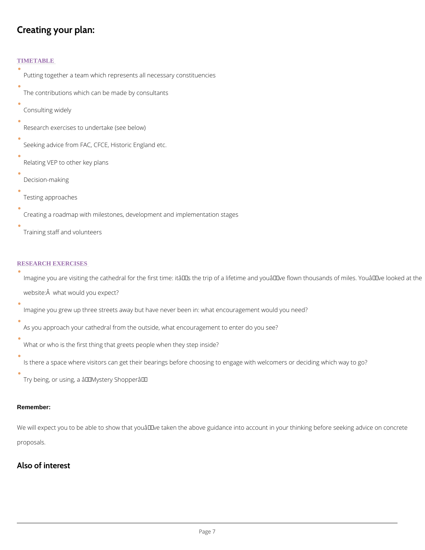# Creating your plan:

TIMETABLE Putting together a team which represents all necessary constituencies The contributions which can be made by consultants Consulting widely Research exercises to undertake (see below) Seeking advice from FAC, CFCE, Historic England etc. Relating VEP to other key plans Decision-making Testing approaches Creating a roadmap with milestones, development and implementation stages Training staff and volunteers RESEARCH EXERCISES Imagine you are visiting the cathedral for the first time: itâ $\epsilon^{\tau_{M}}$ s the trip of a lifetime and y website:Â what would you expect? Imagine you grew up three streets away but have never been in: what encouragement would As you approach your cathedral from the outside, what encouragement to enter do you see? What or who is the first thing that greets people when they step inside? Is there a space where visitors can get their bearings before choosing to engage with welcomers

Try being, or using, a â€~Mystery Shopper'

We will expect you to be able to show that you  $\hat{a} \in T^M$  ve taken the above guidance into account

proposals.

Also of interest